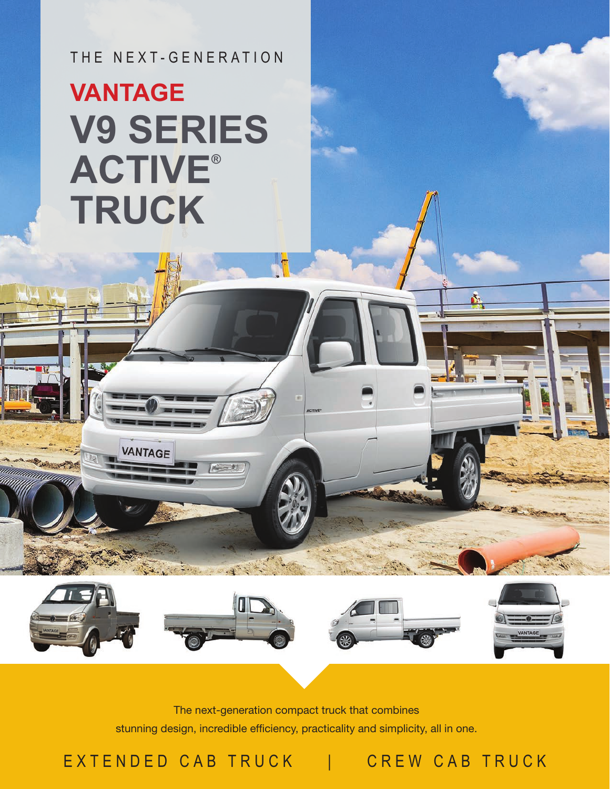THE NEXT-GENERATION

## **V9 SERIES ACTIVE® TRUCK VANTAGE**

**VANTAGE** 

The next-generation compact truck that combines stunning design, incredible efficiency, practicality and simplicity, all in one.

 $\blacksquare$ 

EXTENDED CAB TRUCK | CREW CAB TRUCK

Δ.